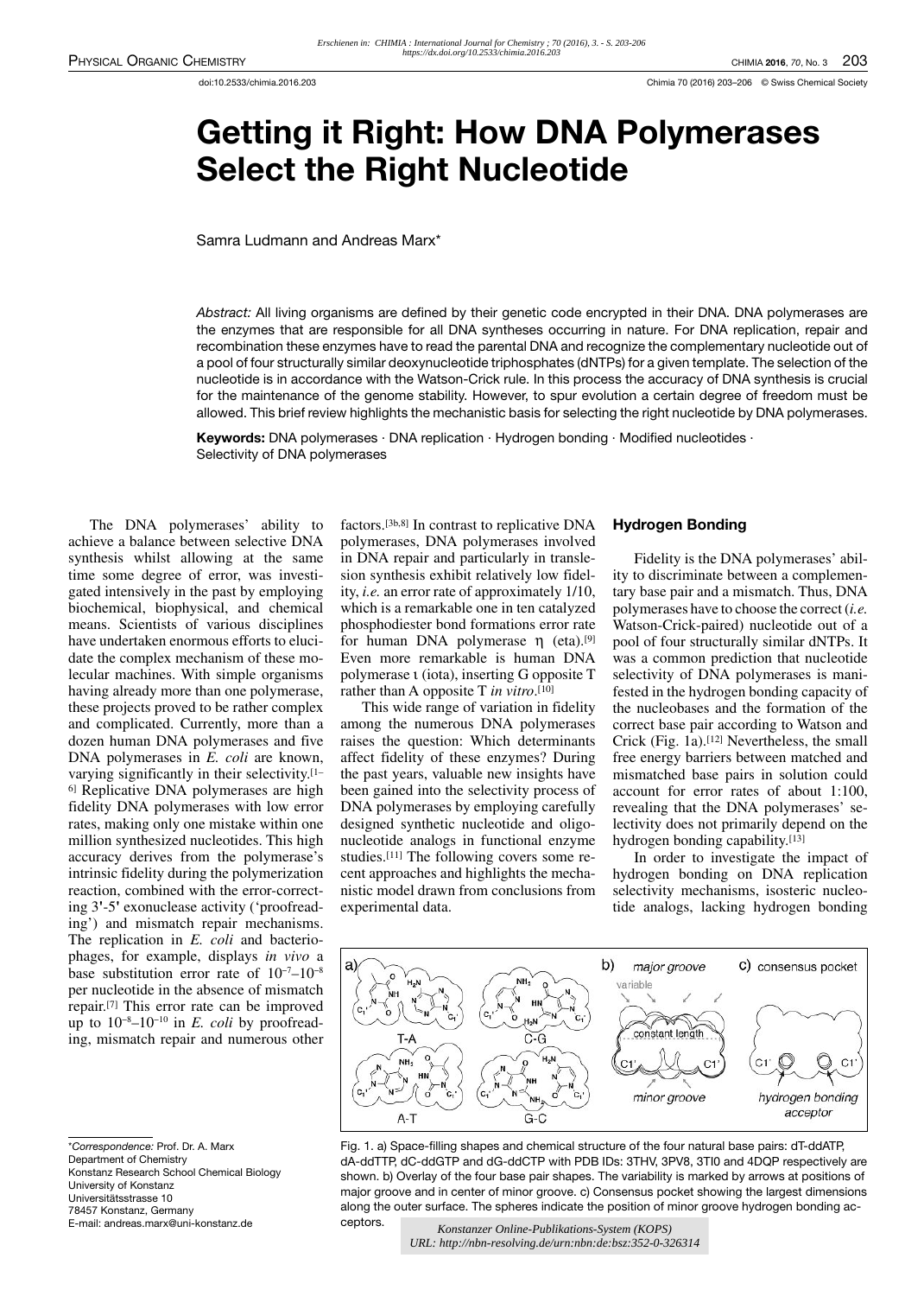# Getting it Right: How DNA Polymerases Select the Right Nucleotide

Samra Ludmann and Andreas Marx\*

Abstract: All living organisms are defined by their genetic code encrypted in their DNA. DNA polymerases are the enzymes that are responsible for all DNA syntheses occurring in nature. For DNA replication, repair and recombination these enzymes have to read the parental DNA and recognize the complementary nucleotide out of a pool of four structurally similar deoxynucleotide triphosphates (dNTPs) for a given template. The selection of the nucleotide is in accordance with the Watson-Crick rule. In this process the accuracy of DNA synthesis is crucial for the maintenance of the genome stability. However, to spur evolution a certain degree of freedom must be allowed. This brief review highlights the mechanistic basis for selecting the right nucleotide by DNA polymerases.

Keywords: DNA polymerases · DNA replication · Hydrogen bonding · Modified nucleotides · Selectivity of DNA polymerases

The DNA polymerases' ability to achieve a balance between selective DNA synthesis whilst allowing at the same time some degree of error, was investigated intensively in the past by employing biochemical, biophysical, and chemical means. Scientists of various disciplines have undertaken enormous efforts to elucidate the complex mechanism of these molecular machines. With simple organisms having already more than one polymerase, these projects proved to be rather complex and complicated. Currently, more than a dozen human DNA polymerases and five DNA polymerases in *E. coli* are known, varying significantly in their selectivity. [1– 6] Replicative DNA polymerases are high fidelity DNA polymerases with low error rates, making only one mistake within one million synthesized nucleotides. This high accuracy derives from the polymerase's intrinsic fidelity during the polymerization reaction, combined with the error-correcting 3**'**-5**'** exonuclease activity ('proofreading') and mismatch repair mechanisms. The replication in *E. coli* and bacteriophages, for example, displays *in vivo* a base substitution error rate of 10−7–10−8 per nucleotide in the absence of mismatch repair. [7] This error rate can be improved up to 10−8–10−10 in *E. coli* by proofreading, mismatch repair and numerous other

\*Correspondence: Prof. Dr. A. Marx Department of Chemistry Konstanz Research School Chemical Biology University of Konstanz Universitätsstrasse 10 78457 Konstanz, Germany E-mail: andreas.marx@uni-konstanz.de

factors.[3b,8] In contrast to replicative DNA polymerases, DNA polymerases involved in DNA repair and particularly in translesion synthesis exhibit relatively low fidelity,*i.e.* an error rate of approximately 1/10, which is a remarkable one in ten catalyzed phosphodiester bond formations error rate for human DNA polymerase η (eta).[9] Even more remarkable is human DNA polymerase ι (iota), inserting G opposite T rather than A opposite T *in vitro*. [10]

This wide range of variation in fidelity among the numerous DNA polymerases raises the question: Which determinants affect fidelity of these enzymes? During the past years, valuable new insights have been gained into the selectivity process of DNA polymerases by employing carefully designed synthetic nucleotide and oligonucleotide analogs in functional enzyme studies.[11] The following covers some recent approaches and highlights the mechanistic model drawn from conclusions from experimental data.

## Hydrogen Bonding

Fidelity is the DNA polymerases' ability to discriminate between a complementary base pair and a mismatch. Thus, DNA polymerases have to choose the correct(*i.e.* Watson-Crick-paired) nucleotide out of a pool of four structurally similar dNTPs. It was a common prediction that nucleotide selectivity of DNA polymerases is manifested in the hydrogen bonding capacity of the nucleobases and the formation of the correct base pair according to Watson and Crick (Fig. 1a).[12] Nevertheless, the small free energy barriers between matched and mismatched base pairs in solution could account for error rates of about 1:100, revealing that the DNA polymerases' selectivity does not primarily depend on the hydrogen bonding capability. [13]

In order to investigate the impact of hydrogen bonding on DNA replication selectivity mechanisms, isosteric nucleotide analogs, lacking hydrogen bonding



Fig. 1. a) Space-filling shapes and chemical structure of the four natural base pairs: dT-ddATP, dA-ddTTP, dC-ddGTP and dG-ddCTP with PDB IDs: 3THV, 3PV8, 3TI0 and 4DQP respectively are shown. b) Overlay of the four base pair shapes. The variability is marked by arrows at positions of major groove and in center of minor groove. c) Consensus pocket showing the largest dimensions along the outer surface. The spheres indicate the position of minor groove hydrogen bonding acceptors.

*Konstanzer Online-Publikations-System (KOPS) URL: http://nbn-resolving.de/urn:nbn:de:bsz:352-0-326314*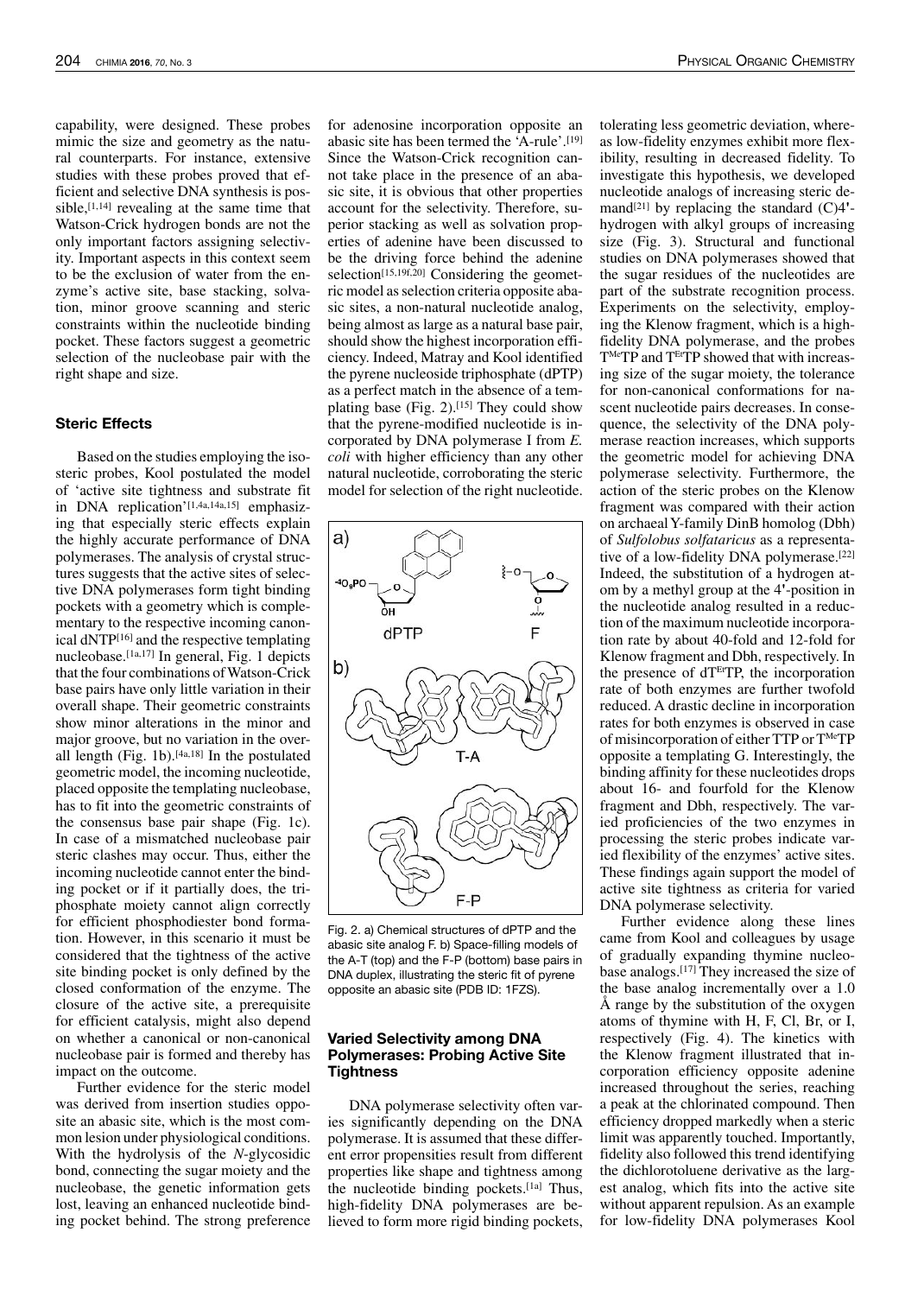capability, were designed. These probes mimic the size and geometry as the natural counterparts. For instance, extensive studies with these probes proved that efficient and selective DNA synthesis is possible, $[1,14]$  revealing at the same time that Watson-Crick hydrogen bonds are not the only important factors assigning selectivity. Important aspects in this context seem to be the exclusion of water from the enzyme's active site, base stacking, solvation, minor groove scanning and steric constraints within the nucleotide binding pocket. These factors suggest a geometric selection of the nucleobase pair with the right shape and size.

### Steric Effects

Based on the studies employing the isosteric probes, Kool postulated the model of 'active site tightness and substrate fit in DNA replication'<sup>[1,4a,14a,15]</sup> emphasizing that especially steric effects explain the highly accurate performance of DNA polymerases. The analysis of crystal structures suggests that the active sites of selective DNA polymerases form tight binding pockets with a geometry which is complementary to the respective incoming canonical dNTP[16] and the respective templating nucleobase.[1a,17] In general, Fig. 1 depicts that the four combinations of Watson-Crick base pairs have only little variation in their overall shape. Their geometric constraints show minor alterations in the minor and major groove, but no variation in the overall length (Fig. 1b).<sup>[4a,18]</sup> In the postulated geometric model, the incoming nucleotide, placed opposite the templating nucleobase, has to fit into the geometric constraints of the consensus base pair shape (Fig. 1c). In case of a mismatched nucleobase pair steric clashes may occur. Thus, either the incoming nucleotide cannot enter the binding pocket or if it partially does, the triphosphate moiety cannot align correctly for efficient phosphodiester bond formation. However, in this scenario it must be considered that the tightness of the active site binding pocket is only defined by the closed conformation of the enzyme. The closure of the active site, a prerequisite for efficient catalysis, might also depend on whether a canonical or non-canonical nucleobase pair is formed and thereby has impact on the outcome.

Further evidence for the steric model was derived from insertion studies opposite an abasic site, which is the most common lesion under physiological conditions. With the hydrolysis of the *N*-glycosidic bond, connecting the sugar moiety and the nucleobase, the genetic information gets lost, leaving an enhanced nucleotide binding pocket behind. The strong preference

for adenosine incorporation opposite an abasic site has been termed the 'A-rule'.[19] Since the Watson-Crick recognition cannot take place in the presence of an abasic site, it is obvious that other properties account for the selectivity. Therefore, superior stacking as well as solvation properties of adenine have been discussed to be the driving force behind the adenine selection<sup>[15,19f,20]</sup> Considering the geometric model asselection criteria opposite abasic sites, a non-natural nucleotide analog, being almost as large as a natural base pair, should show the highest incorporation efficiency. Indeed, Matray and Kool identified the pyrene nucleoside triphosphate (dPTP) as a perfect match in the absence of a templating base (Fig.  $2$ ).<sup>[15]</sup> They could show that the pyrene-modified nucleotide is incorporated by DNA polymerase I from *E. coli* with higher efficiency than any other natural nucleotide, corroborating the steric model for selection of the right nucleotide.



Fig. 2. a) Chemical structures of dPTP and the abasic site analog F. b) Space-filling models of the A-T (top) and the F-P (bottom) base pairs in DNA duplex, illustrating the steric fit of pyrene opposite an abasic site (PDB ID: 1FZS).

## Varied Selectivity among DNA Polymerases: Probing Active Site **Tightness**

DNA polymerase selectivity often varies significantly depending on the DNA polymerase. It is assumed that these different error propensities result from different properties like shape and tightness among the nucleotide binding pockets.[1a] Thus, high-fidelity DNA polymerases are believed to form more rigid binding pockets,

tolerating less geometric deviation, whereas low-fidelity enzymes exhibit more flexibility, resulting in decreased fidelity. To investigate this hypothesis, we developed nucleotide analogs of increasing steric demand[21] by replacing the standard (C)4**'** hydrogen with alkyl groups of increasing size (Fig. 3). Structural and functional studies on DNA polymerases showed that the sugar residues of the nucleotides are part of the substrate recognition process. Experiments on the selectivity, employing the Klenow fragment, which is a highfidelity DNA polymerase, and the probes  $T^{Me}TP$  and  $T^{Et}TP$  showed that with increasing size of the sugar moiety, the tolerance for non-canonical conformations for nascent nucleotide pairs decreases. In consequence, the selectivity of the DNA polymerase reaction increases, which supports the geometric model for achieving DNA polymerase selectivity. Furthermore, the action of the steric probes on the Klenow fragment was compared with their action on archaealY-family DinB homolog (Dbh) of *Sulfolobus solfataricus* as a representative of a low-fidelity DNA polymerase.[22] Indeed, the substitution of a hydrogen atom by a methyl group at the 4**'**-position in the nucleotide analog resulted in a reduction of the maximum nucleotide incorporation rate by about 40-fold and 12-fold for Klenow fragment and Dbh, respectively. In the presence of  $dT<sup>Et</sup>TP$ , the incorporation rate of both enzymes are further twofold reduced. A drastic decline in incorporation rates for both enzymes is observed in case of misincorporation of either TTP or T<sup>Me</sup>TP opposite a templating G. Interestingly, the binding affinity for these nucleotides drops about 16- and fourfold for the Klenow fragment and Dbh, respectively. The varied proficiencies of the two enzymes in processing the steric probes indicate varied flexibility of the enzymes' active sites. These findings again support the model of active site tightness as criteria for varied DNA polymerase selectivity.

Further evidence along these lines came from Kool and colleagues by usage of gradually expanding thymine nucleobase analogs.[17] They increased the size of the base analog incrementally over a 1.0 Å range by the substitution of the oxygen atoms of thymine with H, F, Cl, Br, or I, respectively (Fig. 4). The kinetics with the Klenow fragment illustrated that incorporation efficiency opposite adenine increased throughout the series, reaching a peak at the chlorinated compound. Then efficiency dropped markedly when a steric limit was apparently touched. Importantly, fidelity also followed this trend identifying the dichlorotoluene derivative as the largest analog, which fits into the active site without apparent repulsion. As an example for low-fidelity DNA polymerases Kool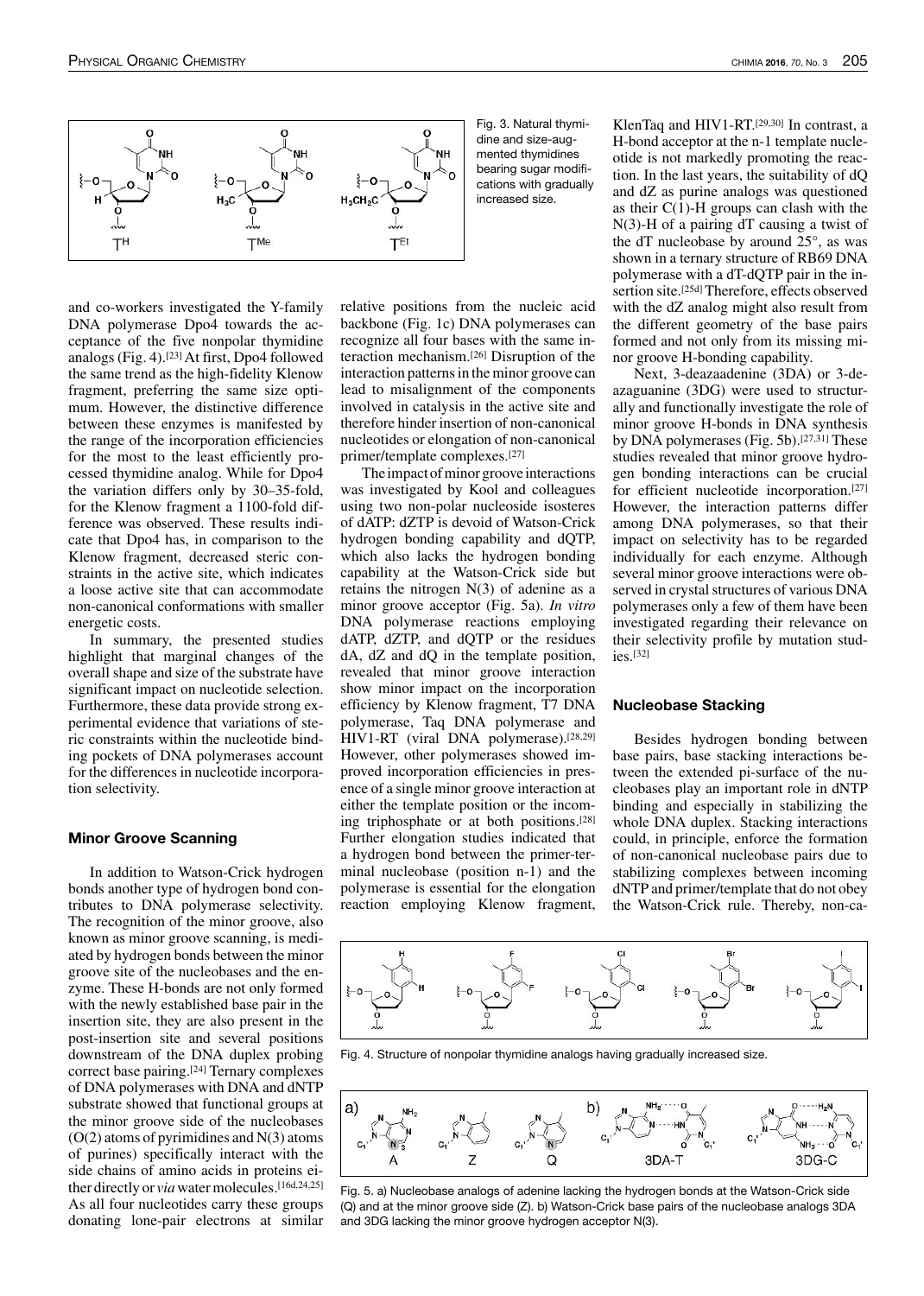

and co-workers investigated the Y-family DNA polymerase Dpo4 towards the acceptance of the five nonpolar thymidine analogs (Fig. 4).[23] At first, Dpo4 followed the same trend as the high-fidelity Klenow fragment, preferring the same size optimum. However, the distinctive difference between these enzymes is manifested by the range of the incorporation efficiencies for the most to the least efficiently processed thymidine analog. While for Dpo4 the variation differs only by 30–35-fold, for the Klenow fragment a 1100-fold difference was observed. These results indicate that Dpo4 has, in comparison to the Klenow fragment, decreased steric constraints in the active site, which indicates a loose active site that can accommodate non-canonical conformations with smaller energetic costs.

In summary, the presented studies highlight that marginal changes of the overall shape and size of the substrate have significant impact on nucleotide selection. Furthermore, these data provide strong experimental evidence that variations of steric constraints within the nucleotide binding pockets of DNA polymerases account for the differences in nucleotide incorporation selectivity.

#### Minor Groove Scanning

In addition to Watson-Crick hydrogen bonds another type of hydrogen bond contributes to DNA polymerase selectivity. The recognition of the minor groove, also known as minor groove scanning, is mediated by hydrogen bonds between the minor groove site of the nucleobases and the enzyme. These H-bonds are not only formed with the newly established base pair in the insertion site, they are also present in the post-insertion site and several positions downstream of the DNA duplex probing correct base pairing.[24] Ternary complexes of DNA polymerases with DNA and dNTP substrate showed that functional groups at the minor groove side of the nucleobases  $(O(2)$  atoms of pyrimidines and  $N(3)$  atoms of purines) specifically interact with the side chains of amino acids in proteins either directly or *via* water molecules.<sup>[16d,24,25]</sup> As all four nucleotides carry these groups donating lone-pair electrons at similar

Fig. 3. Natural thymidine and size-augmented thymidines bearing sugar modifications with gradually increased size.

relative positions from the nucleic acid backbone (Fig. 1c) DNA polymerases can recognize all four bases with the same interaction mechanism.[26] Disruption of the interaction patterns in the minor groove can lead to misalignment of the components involved in catalysis in the active site and therefore hinder insertion of non-canonical nucleotides or elongation of non-canonical primer/template complexes.[27]

The impact of minor groove interactions was investigated by Kool and colleagues using two non-polar nucleoside isosteres of dATP: dZTP is devoid of Watson-Crick hydrogen bonding capability and dQTP, which also lacks the hydrogen bonding capability at the Watson-Crick side but retains the nitrogen  $N(3)$  of adenine as a minor groove acceptor (Fig. 5a). *In vitro* DNA polymerase reactions employing dATP, dZTP, and dQTP or the residues dA, dZ and dQ in the template position, revealed that minor groove interaction show minor impact on the incorporation efficiency by Klenow fragment, T7 DNA polymerase, Taq DNA polymerase and HIV1-RT (viral DNA polymerase).[28,29] However, other polymerases showed improved incorporation efficiencies in presence of a single minor groove interaction at either the template position or the incoming triphosphate or at both positions.[28] Further elongation studies indicated that a hydrogen bond between the primer-terminal nucleobase (position n-1) and the polymerase is essential for the elongation reaction employing Klenow fragment,

KlenTaq and HIV1-RT.[29,30] In contrast, a H-bond acceptor at the n-1 template nucleotide is not markedly promoting the reaction. In the last years, the suitability of dQ and dZ as purine analogs was questioned as their  $C(1)$ -H groups can clash with the N(3)-H of a pairing dT causing a twist of the dT nucleobase by around 25°, as was shown in a ternary structure of RB69 DNA polymerase with a dT-dQTP pair in the insertion site.[25d] Therefore, effects observed with the dZ analog might also result from the different geometry of the base pairs formed and not only from its missing minor groove H-bonding capability.

Next, 3-deazaadenine (3DA) or 3-deazaguanine (3DG) were used to structurally and functionally investigate the role of minor groove H-bonds in DNA synthesis by DNA polymerases (Fig. 5b).<sup>[27,31]</sup> These studies revealed that minor groove hydrogen bonding interactions can be crucial for efficient nucleotide incorporation.[27] However, the interaction patterns differ among DNA polymerases, so that their impact on selectivity has to be regarded individually for each enzyme. Although several minor groove interactions were observed in crystal structures of various DNA polymerases only a few of them have been investigated regarding their relevance on their selectivity profile by mutation studies.[32]

### Nucleobase Stacking

Besides hydrogen bonding between base pairs, base stacking interactions between the extended pi-surface of the nucleobases play an important role in dNTP binding and especially in stabilizing the whole DNA duplex. Stacking interactions could, in principle, enforce the formation of non-canonical nucleobase pairs due to stabilizing complexes between incoming dNTPand primer/template that do not obey the Watson-Crick rule. Thereby, non-ca-



Fig. 4. Structure of nonpolar thymidine analogs having gradually increased size.



Fig. 5. a) Nucleobase analogs of adenine lacking the hydrogen bonds at the Watson-Crick side (Q) and at the minor groove side (Z). b) Watson-Crick base pairs of the nucleobase analogs 3DA and 3DG lacking the minor groove hydrogen acceptor N(3).